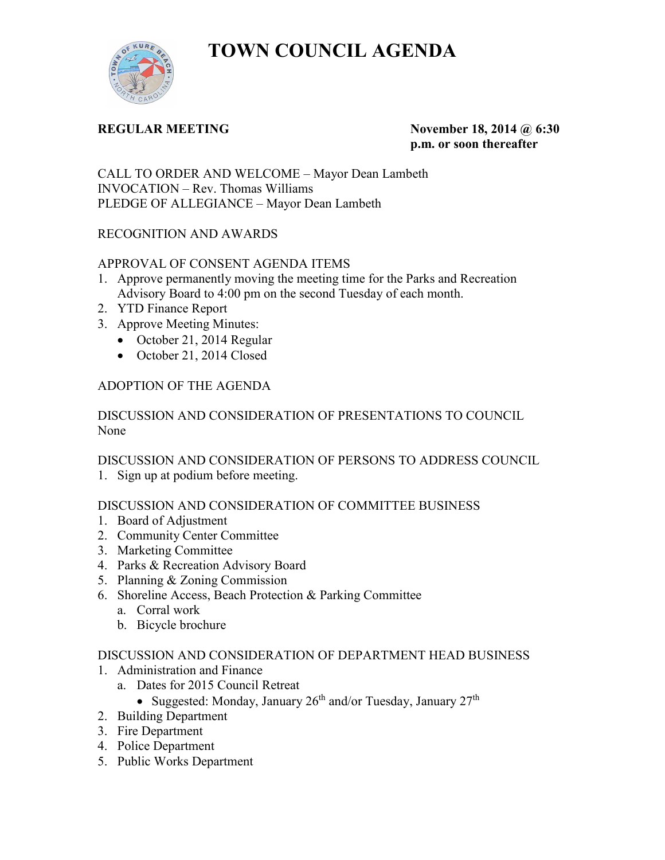**TOWN COUNCIL AGENDA** 



**REGULAR MEETING November 18, 2014 @ 6:30 p.m. or soon thereafter** 

CALL TO ORDER AND WELCOME – Mayor Dean Lambeth INVOCATION – Rev. Thomas Williams PLEDGE OF ALLEGIANCE – Mayor Dean Lambeth

# RECOGNITION AND AWARDS

# APPROVAL OF CONSENT AGENDA ITEMS

- 1. Approve permanently moving the meeting time for the Parks and Recreation Advisory Board to 4:00 pm on the second Tuesday of each month.
- 2. YTD Finance Report
- 3. Approve Meeting Minutes:
	- October 21, 2014 Regular
	- October 21, 2014 Closed

# ADOPTION OF THE AGENDA

### DISCUSSION AND CONSIDERATION OF PRESENTATIONS TO COUNCIL None

DISCUSSION AND CONSIDERATION OF PERSONS TO ADDRESS COUNCIL

1. Sign up at podium before meeting.

# DISCUSSION AND CONSIDERATION OF COMMITTEE BUSINESS

- 1. Board of Adjustment
- 2. Community Center Committee
- 3. Marketing Committee
- 4. Parks & Recreation Advisory Board
- 5. Planning & Zoning Commission
- 6. Shoreline Access, Beach Protection & Parking Committee
	- a. Corral work
	- b. Bicycle brochure

### DISCUSSION AND CONSIDERATION OF DEPARTMENT HEAD BUSINESS

- 1. Administration and Finance
	- a. Dates for 2015 Council Retreat
		- Suggested: Monday, January  $26<sup>th</sup>$  and/or Tuesday, January  $27<sup>th</sup>$
- 2. Building Department
- 3. Fire Department
- 4. Police Department
- 5. Public Works Department